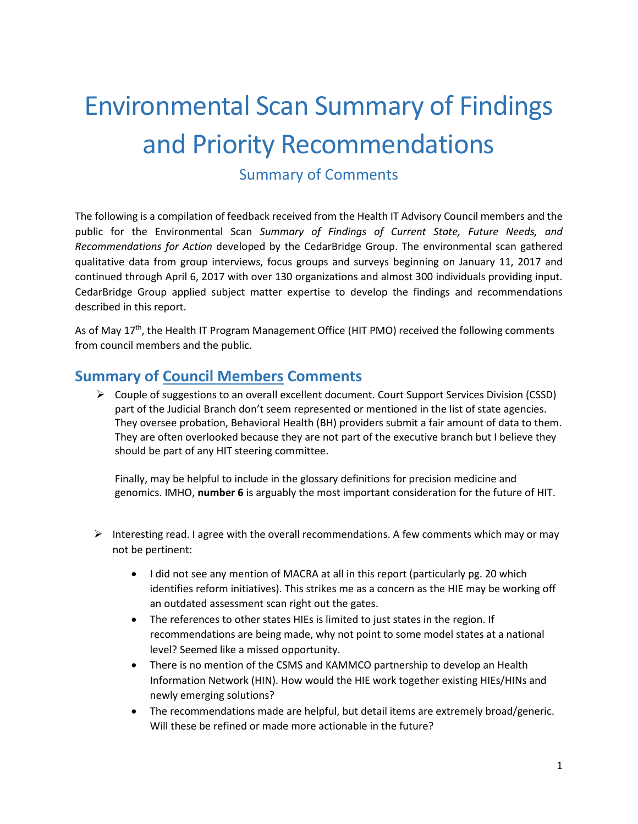## Environmental Scan Summary of Findings and Priority Recommendations

Summary of Comments

The following is a compilation of feedback received from the Health IT Advisory Council members and the public for the Environmental Scan *Summary of Findings of Current State, Future Needs, and Recommendations for Action* developed by the CedarBridge Group. The environmental scan gathered qualitative data from group interviews, focus groups and surveys beginning on January 11, 2017 and continued through April 6, 2017 with over 130 organizations and almost 300 individuals providing input. CedarBridge Group applied subject matter expertise to develop the findings and recommendations described in this report.

As of May 17<sup>th</sup>, the Health IT Program Management Office (HIT PMO) received the following comments from council members and the public.

## **Summary of Council Members Comments**

 Couple of suggestions to an overall excellent document. Court Support Services Division (CSSD) part of the Judicial Branch don't seem represented or mentioned in the list of state agencies. They oversee probation, Behavioral Health (BH) providers submit a fair amount of data to them. They are often overlooked because they are not part of the executive branch but I believe they should be part of any HIT steering committee.

Finally, may be helpful to include in the glossary definitions for precision medicine and genomics. IMHO, **number 6** is arguably the most important consideration for the future of HIT.

- Interesting read. I agree with the overall recommendations. A few comments which may or may not be pertinent:
	- I did not see any mention of MACRA at all in this report (particularly pg. 20 which identifies reform initiatives). This strikes me as a concern as the HIE may be working off an outdated assessment scan right out the gates.
	- The references to other states HIEs is limited to just states in the region. If recommendations are being made, why not point to some model states at a national level? Seemed like a missed opportunity.
	- There is no mention of the CSMS and KAMMCO partnership to develop an Health Information Network (HIN). How would the HIE work together existing HIEs/HINs and newly emerging solutions?
	- The recommendations made are helpful, but detail items are extremely broad/generic. Will these be refined or made more actionable in the future?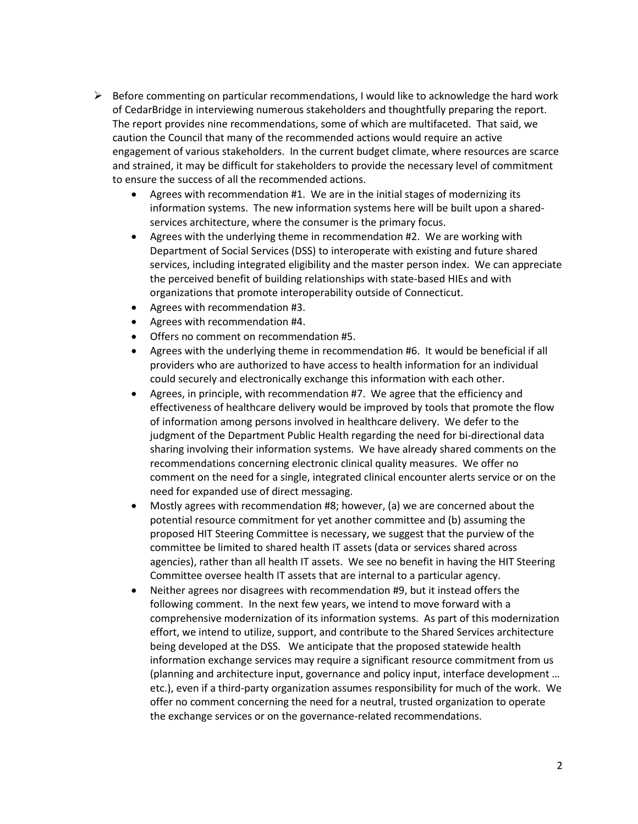- $\triangleright$  Before commenting on particular recommendations, I would like to acknowledge the hard work of CedarBridge in interviewing numerous stakeholders and thoughtfully preparing the report. The report provides nine recommendations, some of which are multifaceted. That said, we caution the Council that many of the recommended actions would require an active engagement of various stakeholders. In the current budget climate, where resources are scarce and strained, it may be difficult for stakeholders to provide the necessary level of commitment to ensure the success of all the recommended actions.
	- Agrees with recommendation #1. We are in the initial stages of modernizing its information systems. The new information systems here will be built upon a sharedservices architecture, where the consumer is the primary focus.
	- Agrees with the underlying theme in recommendation #2. We are working with Department of Social Services (DSS) to interoperate with existing and future shared services, including integrated eligibility and the master person index. We can appreciate the perceived benefit of building relationships with state-based HIEs and with organizations that promote interoperability outside of Connecticut.
	- Agrees with recommendation #3.
	- Agrees with recommendation #4.
	- Offers no comment on recommendation #5.
	- Agrees with the underlying theme in recommendation #6. It would be beneficial if all providers who are authorized to have access to health information for an individual could securely and electronically exchange this information with each other.
	- Agrees, in principle, with recommendation #7. We agree that the efficiency and effectiveness of healthcare delivery would be improved by tools that promote the flow of information among persons involved in healthcare delivery. We defer to the judgment of the Department Public Health regarding the need for bi-directional data sharing involving their information systems. We have already shared comments on the recommendations concerning electronic clinical quality measures. We offer no comment on the need for a single, integrated clinical encounter alerts service or on the need for expanded use of direct messaging.
	- Mostly agrees with recommendation #8; however, (a) we are concerned about the potential resource commitment for yet another committee and (b) assuming the proposed HIT Steering Committee is necessary, we suggest that the purview of the committee be limited to shared health IT assets (data or services shared across agencies), rather than all health IT assets. We see no benefit in having the HIT Steering Committee oversee health IT assets that are internal to a particular agency.
	- Neither agrees nor disagrees with recommendation #9, but it instead offers the following comment. In the next few years, we intend to move forward with a comprehensive modernization of its information systems. As part of this modernization effort, we intend to utilize, support, and contribute to the Shared Services architecture being developed at the DSS. We anticipate that the proposed statewide health information exchange services may require a significant resource commitment from us (planning and architecture input, governance and policy input, interface development … etc.), even if a third-party organization assumes responsibility for much of the work. We offer no comment concerning the need for a neutral, trusted organization to operate the exchange services or on the governance-related recommendations.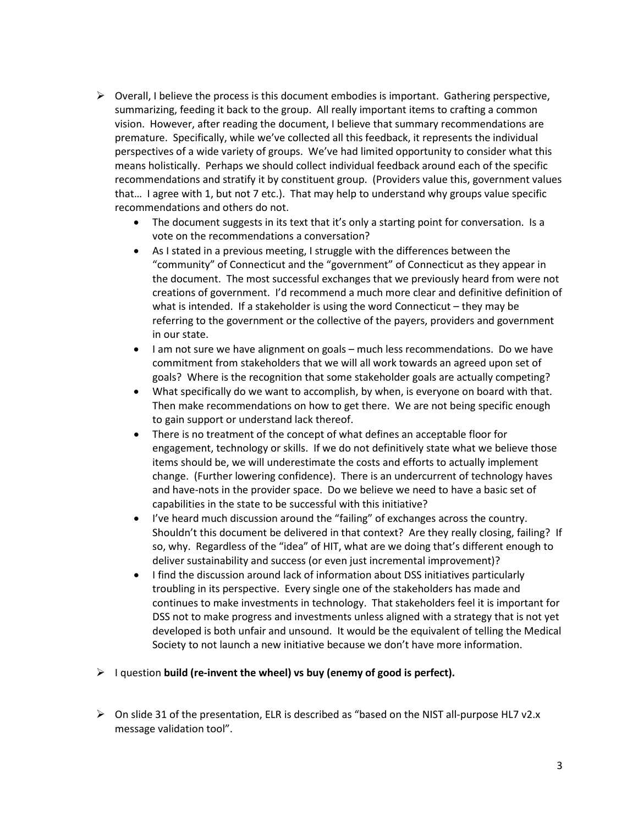- $\triangleright$  Overall, I believe the process is this document embodies is important. Gathering perspective, summarizing, feeding it back to the group. All really important items to crafting a common vision. However, after reading the document, I believe that summary recommendations are premature. Specifically, while we've collected all this feedback, it represents the individual perspectives of a wide variety of groups. We've had limited opportunity to consider what this means holistically. Perhaps we should collect individual feedback around each of the specific recommendations and stratify it by constituent group. (Providers value this, government values that… I agree with 1, but not 7 etc.). That may help to understand why groups value specific recommendations and others do not.
	- The document suggests in its text that it's only a starting point for conversation. Is a vote on the recommendations a conversation?
	- As I stated in a previous meeting, I struggle with the differences between the "community" of Connecticut and the "government" of Connecticut as they appear in the document. The most successful exchanges that we previously heard from were not creations of government. I'd recommend a much more clear and definitive definition of what is intended. If a stakeholder is using the word Connecticut – they may be referring to the government or the collective of the payers, providers and government in our state.
	- I am not sure we have alignment on goals much less recommendations. Do we have commitment from stakeholders that we will all work towards an agreed upon set of goals? Where is the recognition that some stakeholder goals are actually competing?
	- What specifically do we want to accomplish, by when, is everyone on board with that. Then make recommendations on how to get there. We are not being specific enough to gain support or understand lack thereof.
	- There is no treatment of the concept of what defines an acceptable floor for engagement, technology or skills. If we do not definitively state what we believe those items should be, we will underestimate the costs and efforts to actually implement change. (Further lowering confidence). There is an undercurrent of technology haves and have-nots in the provider space. Do we believe we need to have a basic set of capabilities in the state to be successful with this initiative?
	- I've heard much discussion around the "failing" of exchanges across the country. Shouldn't this document be delivered in that context? Are they really closing, failing? If so, why. Regardless of the "idea" of HIT, what are we doing that's different enough to deliver sustainability and success (or even just incremental improvement)?
	- I find the discussion around lack of information about DSS initiatives particularly troubling in its perspective. Every single one of the stakeholders has made and continues to make investments in technology. That stakeholders feel it is important for DSS not to make progress and investments unless aligned with a strategy that is not yet developed is both unfair and unsound. It would be the equivalent of telling the Medical Society to not launch a new initiative because we don't have more information.
- I question **build (re-invent the wheel) vs buy (enemy of good is perfect).**
- $\triangleright$  On slide 31 of the presentation, ELR is described as "based on the NIST all-purpose HL7 v2.x message validation tool".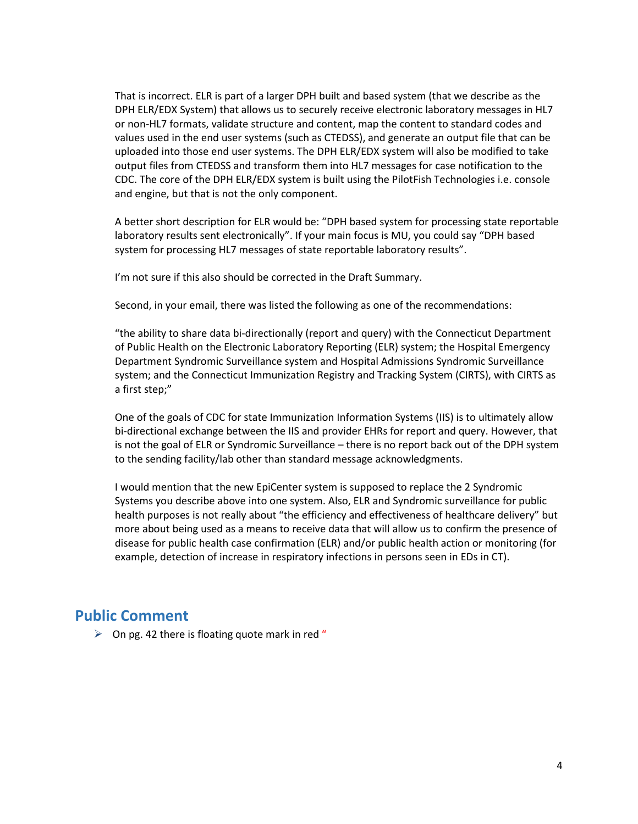That is incorrect. ELR is part of a larger DPH built and based system (that we describe as the DPH ELR/EDX System) that allows us to securely receive electronic laboratory messages in HL7 or non-HL7 formats, validate structure and content, map the content to standard codes and values used in the end user systems (such as CTEDSS), and generate an output file that can be uploaded into those end user systems. The DPH ELR/EDX system will also be modified to take output files from CTEDSS and transform them into HL7 messages for case notification to the CDC. The core of the DPH ELR/EDX system is built using the PilotFish Technologies i.e. console and engine, but that is not the only component.

A better short description for ELR would be: "DPH based system for processing state reportable laboratory results sent electronically". If your main focus is MU, you could say "DPH based system for processing HL7 messages of state reportable laboratory results".

I'm not sure if this also should be corrected in the Draft Summary.

Second, in your email, there was listed the following as one of the recommendations:

"the ability to share data bi-directionally (report and query) with the Connecticut Department of Public Health on the Electronic Laboratory Reporting (ELR) system; the Hospital Emergency Department Syndromic Surveillance system and Hospital Admissions Syndromic Surveillance system; and the Connecticut Immunization Registry and Tracking System (CIRTS), with CIRTS as a first step;"

One of the goals of CDC for state Immunization Information Systems (IIS) is to ultimately allow bi-directional exchange between the IIS and provider EHRs for report and query. However, that is not the goal of ELR or Syndromic Surveillance – there is no report back out of the DPH system to the sending facility/lab other than standard message acknowledgments.

I would mention that the new EpiCenter system is supposed to replace the 2 Syndromic Systems you describe above into one system. Also, ELR and Syndromic surveillance for public health purposes is not really about "the efficiency and effectiveness of healthcare delivery" but more about being used as a means to receive data that will allow us to confirm the presence of disease for public health case confirmation (ELR) and/or public health action or monitoring (for example, detection of increase in respiratory infections in persons seen in EDs in CT).

## **Public Comment**

 $\triangleright$  On pg. 42 there is floating quote mark in red "